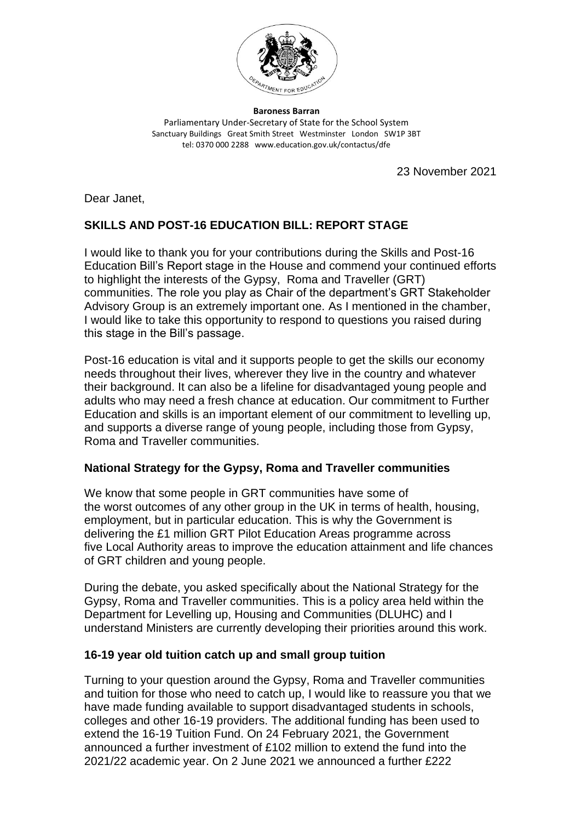

**Baroness Barran** Parliamentary Under-Secretary of State for the School System Sanctuary Buildings Great Smith Street Westminster London SW1P 3BT tel: 0370 000 2288 www.education.gov.uk/contactus/dfe

23 November 2021

Dear Janet,

# **SKILLS AND POST-16 EDUCATION BILL: REPORT STAGE**

I would like to thank you for your contributions during the Skills and Post-16 Education Bill's Report stage in the House and commend your continued efforts to highlight the interests of the Gypsy, Roma and Traveller (GRT) communities. The role you play as Chair of the department's GRT Stakeholder Advisory Group is an extremely important one. As I mentioned in the chamber, I would like to take this opportunity to respond to questions you raised during this stage in the Bill's passage.

Post-16 education is vital and it supports people to get the skills our economy needs throughout their lives, wherever they live in the country and whatever their background. It can also be a lifeline for disadvantaged young people and adults who may need a fresh chance at education. Our commitment to Further Education and skills is an important element of our commitment to levelling up, and supports a diverse range of young people, including those from Gypsy, Roma and Traveller communities.

## **National Strategy for the Gypsy, Roma and Traveller communities**

We know that some people in GRT communities have some of the worst outcomes of any other group in the UK in terms of health, housing, employment, but in particular education. This is why the Government is delivering the £1 million GRT Pilot Education Areas programme across five Local Authority areas to improve the education attainment and life chances of GRT children and young people.

During the debate, you asked specifically about the National Strategy for the Gypsy, Roma and Traveller communities. This is a policy area held within the Department for Levelling up, Housing and Communities (DLUHC) and I understand Ministers are currently developing their priorities around this work.

### **16-19 year old tuition catch up and small group tuition**

Turning to your question around the Gypsy, Roma and Traveller communities and tuition for those who need to catch up, I would like to reassure you that we have made funding available to support disadvantaged students in schools, colleges and other 16-19 providers. The additional funding has been used to extend the 16-19 Tuition Fund. On 24 February 2021, the Government announced a further investment of £102 million to extend the fund into the 2021/22 academic year. On 2 June 2021 we announced a further £222